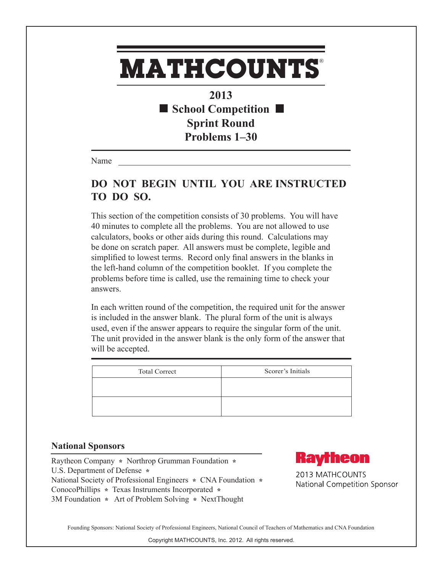## **MATHCOUNTS** ®

**2013 School Competition Sprint Round Problems 1–30**

Name

## **DO NOT BEGIN UNTIL YOU ARE INSTRUCTED TO DO SO.**

This section of the competition consists of 30 problems. You will have 40 minutes to complete all the problems. You are not allowed to use calculators, books or other aids during this round. Calculations may be done on scratch paper. All answers must be complete, legible and simplified to lowest terms. Record only final answers in the blanks in the left-hand column of the competition booklet. If you complete the problems before time is called, use the remaining time to check your answers.

In each written round of the competition, the required unit for the answer is included in the answer blank. The plural form of the unit is always used, even if the answer appears to require the singular form of the unit. The unit provided in the answer blank is the only form of the answer that will be accepted.

| <b>Total Correct</b> | Scorer's Initials |
|----------------------|-------------------|
|                      |                   |
|                      |                   |
|                      |                   |
|                      |                   |

## **National Sponsors**

Raytheon Company **\*** Northrop Grumman Foundation **\***  U.S. Department of Defense **\***  National Society of Professional Engineers **\*** CNA Foundation **\***  ConocoPhillips **\*** Texas Instruments Incorporated **\*** 3M Foundation **\*** Art of Problem Solving **\*** NextThought



2013 MATHCOUNTS National Competition Sponsor

Founding Sponsors: National Society of Professional Engineers, National Council of Teachers of Mathematics and CNA Foundation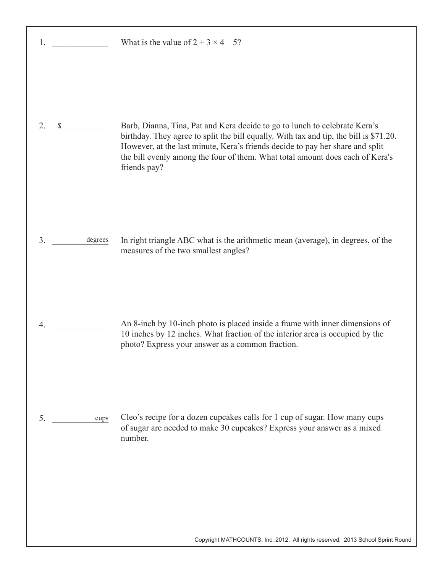| 1.                  | What is the value of $2 + 3 \times 4 - 5$ ?                                                                                                                                                                                                                                                                                                            |
|---------------------|--------------------------------------------------------------------------------------------------------------------------------------------------------------------------------------------------------------------------------------------------------------------------------------------------------------------------------------------------------|
| 2.<br>$\mathcal{S}$ | Barb, Dianna, Tina, Pat and Kera decide to go to lunch to celebrate Kera's<br>birthday. They agree to split the bill equally. With tax and tip, the bill is \$71.20.<br>However, at the last minute, Kera's friends decide to pay her share and split<br>the bill evenly among the four of them. What total amount does each of Kera's<br>friends pay? |
| 3.<br>degrees       | In right triangle ABC what is the arithmetic mean (average), in degrees, of the<br>measures of the two smallest angles?                                                                                                                                                                                                                                |
| $\overline{4}$ .    | An 8-inch by 10-inch photo is placed inside a frame with inner dimensions of<br>10 inches by 12 inches. What fraction of the interior area is occupied by the<br>photo? Express your answer as a common fraction.                                                                                                                                      |
| 5.<br>cups          | Cleo's recipe for a dozen cupcakes calls for 1 cup of sugar. How many cups<br>of sugar are needed to make 30 cupcakes? Express your answer as a mixed<br>number.                                                                                                                                                                                       |
|                     |                                                                                                                                                                                                                                                                                                                                                        |

Copyright MATHCOUNTS, Inc. 2012. All rights reserved. 2013 School Sprint Round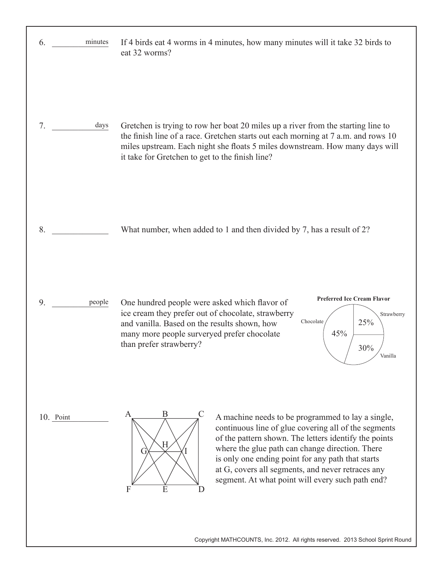| 6.<br>minutes | If 4 birds eat 4 worms in 4 minutes, how many minutes will it take 32 birds to<br>eat 32 worms?                                                                                                                                                                                                                                                                                                                                    |
|---------------|------------------------------------------------------------------------------------------------------------------------------------------------------------------------------------------------------------------------------------------------------------------------------------------------------------------------------------------------------------------------------------------------------------------------------------|
| 7.<br>days    | Gretchen is trying to row her boat 20 miles up a river from the starting line to<br>the finish line of a race. Gretchen starts out each morning at 7 a.m. and rows 10<br>miles upstream. Each night she floats 5 miles downstream. How many days will<br>it take for Gretchen to get to the finish line?                                                                                                                           |
| 8.            | What number, when added to 1 and then divided by 7, has a result of 2?                                                                                                                                                                                                                                                                                                                                                             |
| 9.<br>people  | <b>Preferred Ice Cream Flavor</b><br>One hundred people were asked which flavor of<br>ice cream they prefer out of chocolate, strawberry<br>Strawberry<br>Chocolate<br>25%<br>and vanilla. Based on the results shown, how<br>many more people surveryed prefer chocolate<br>45%<br>than prefer strawberry?<br>30%<br>Vanilla                                                                                                      |
| 10. Point     | B<br>$\mathcal{C}$<br>A<br>A machine needs to be programmed to lay a single,<br>continuous line of glue covering all of the segments<br>of the pattern shown. The letters identify the points<br>Н<br>where the glue path can change direction. There<br>is only one ending point for any path that starts<br>at G, covers all segments, and never retraces any<br>segment. At what point will every such path end?<br>E<br>F<br>D |
|               | Copyright MATHCOUNTS, Inc. 2012. All rights reserved. 2013 School Sprint Round                                                                                                                                                                                                                                                                                                                                                     |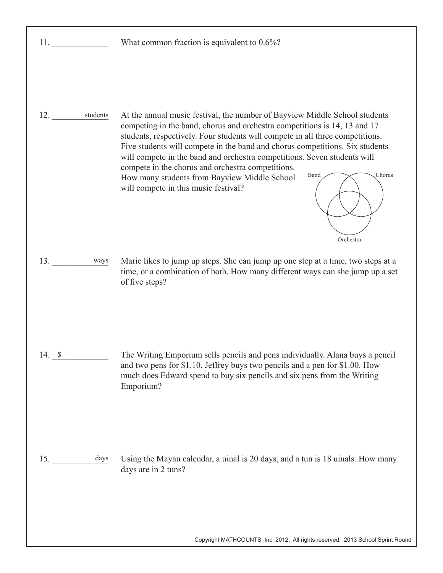| 11.          | What common fraction is equivalent to $0.6\%$ ?                                                                                                                                                                                                                                                                                                                                                                                                                                                                                                                                  |
|--------------|----------------------------------------------------------------------------------------------------------------------------------------------------------------------------------------------------------------------------------------------------------------------------------------------------------------------------------------------------------------------------------------------------------------------------------------------------------------------------------------------------------------------------------------------------------------------------------|
| 12. students | At the annual music festival, the number of Bayview Middle School students<br>competing in the band, chorus and orchestra competitions is 14, 13 and 17<br>students, respectively. Four students will compete in all three competitions.<br>Five students will compete in the band and chorus competitions. Six students<br>will compete in the band and orchestra competitions. Seven students will<br>compete in the chorus and orchestra competitions.<br>Chorus<br>Band<br>How many students from Bayview Middle School<br>will compete in this music festival?<br>Orchestra |
| 13.<br>ways  | Marie likes to jump up steps. She can jump up one step at a time, two steps at a<br>time, or a combination of both. How many different ways can she jump up a set                                                                                                                                                                                                                                                                                                                                                                                                                |
|              | of five steps?                                                                                                                                                                                                                                                                                                                                                                                                                                                                                                                                                                   |
| 14. S        | The Writing Emporium sells pencils and pens individually. Alana buys a pencil<br>and two pens for \$1.10. Jeffrey buys two pencils and a pen for \$1.00. How<br>much does Edward spend to buy six pencils and six pens from the Writing<br>Emporium?                                                                                                                                                                                                                                                                                                                             |
| days<br>15.  | Using the Mayan calendar, a uinal is 20 days, and a tun is 18 uinals. How many<br>days are in 2 tuns?                                                                                                                                                                                                                                                                                                                                                                                                                                                                            |
|              |                                                                                                                                                                                                                                                                                                                                                                                                                                                                                                                                                                                  |

Copyright MATHCOUNTS, Inc. 2012. All rights reserved. 2013 School Sprint Round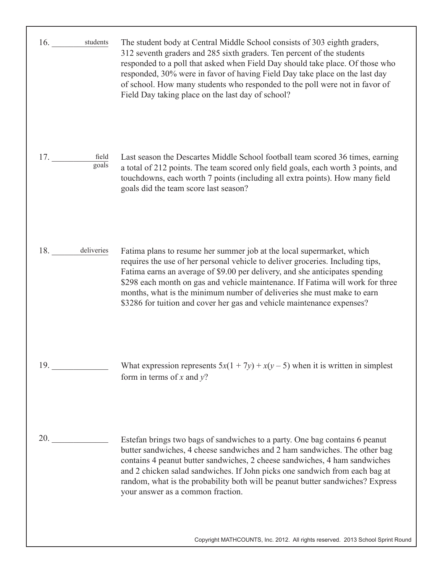| students<br>16.       | The student body at Central Middle School consists of 303 eighth graders,<br>312 seventh graders and 285 sixth graders. Ten percent of the students<br>responded to a poll that asked when Field Day should take place. Of those who<br>responded, 30% were in favor of having Field Day take place on the last day<br>of school. How many students who responded to the poll were not in favor of<br>Field Day taking place on the last day of school?                       |
|-----------------------|-------------------------------------------------------------------------------------------------------------------------------------------------------------------------------------------------------------------------------------------------------------------------------------------------------------------------------------------------------------------------------------------------------------------------------------------------------------------------------|
| 17.<br>field<br>goals | Last season the Descartes Middle School football team scored 36 times, earning<br>a total of 212 points. The team scored only field goals, each worth 3 points, and<br>touchdowns, each worth 7 points (including all extra points). How many field<br>goals did the team score last season?                                                                                                                                                                                  |
| 18. deliveries        | Fatima plans to resume her summer job at the local supermarket, which<br>requires the use of her personal vehicle to deliver groceries. Including tips,<br>Fatima earns an average of \$9.00 per delivery, and she anticipates spending<br>\$298 each month on gas and vehicle maintenance. If Fatima will work for three<br>months, what is the minimum number of deliveries she must make to earn<br>\$3286 for tuition and cover her gas and vehicle maintenance expenses? |
| 19.                   | What expression represents $5x(1 + 7y) + x(y - 5)$ when it is written in simplest<br>form in terms of $x$ and $y$ ?                                                                                                                                                                                                                                                                                                                                                           |
| 20.                   | Estefan brings two bags of sandwiches to a party. One bag contains 6 peanut<br>butter sandwiches, 4 cheese sandwiches and 2 ham sandwiches. The other bag<br>contains 4 peanut butter sandwiches, 2 cheese sandwiches, 4 ham sandwiches<br>and 2 chicken salad sandwiches. If John picks one sandwich from each bag at<br>random, what is the probability both will be peanut butter sandwiches? Express<br>your answer as a common fraction.                                 |

Copyright MATHCOUNTS, Inc. 2012. All rights reserved. 2013 School Sprint Round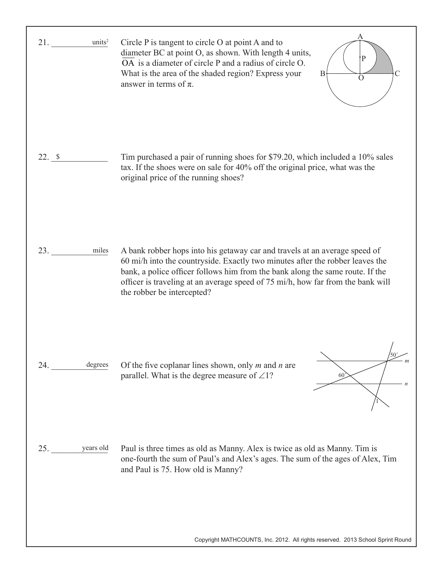| units <sup>2</sup><br>21. | A<br>Circle $P$ is tangent to circle $O$ at point $A$ and to<br>diameter BC at point O, as shown. With length 4 units,<br>P<br>OA is a diameter of circle P and a radius of circle O.<br>What is the area of the shaded region? Express your<br>B<br>$\left( \right)$<br>answer in terms of $\pi$ .                                                           |
|---------------------------|---------------------------------------------------------------------------------------------------------------------------------------------------------------------------------------------------------------------------------------------------------------------------------------------------------------------------------------------------------------|
| 22.8                      | Tim purchased a pair of running shoes for \$79.20, which included a 10% sales<br>tax. If the shoes were on sale for 40% off the original price, what was the<br>original price of the running shoes?                                                                                                                                                          |
| miles<br>23.              | A bank robber hops into his getaway car and travels at an average speed of<br>60 mi/h into the countryside. Exactly two minutes after the robber leaves the<br>bank, a police officer follows him from the bank along the same route. If the<br>officer is traveling at an average speed of 75 mi/h, how far from the bank will<br>the robber be intercepted? |
| degrees<br>24.            | Of the five coplanar lines shown, only $m$ and $n$ are<br>parallel. What is the degree measure of $\angle 1$ ?<br>60                                                                                                                                                                                                                                          |
| years old<br>25.          | Paul is three times as old as Manny. Alex is twice as old as Manny. Tim is<br>one-fourth the sum of Paul's and Alex's ages. The sum of the ages of Alex, Tim<br>and Paul is 75. How old is Manny?                                                                                                                                                             |
|                           | Copyright MATHCOUNTS, Inc. 2012. All rights reserved. 2013 School Sprint Round                                                                                                                                                                                                                                                                                |